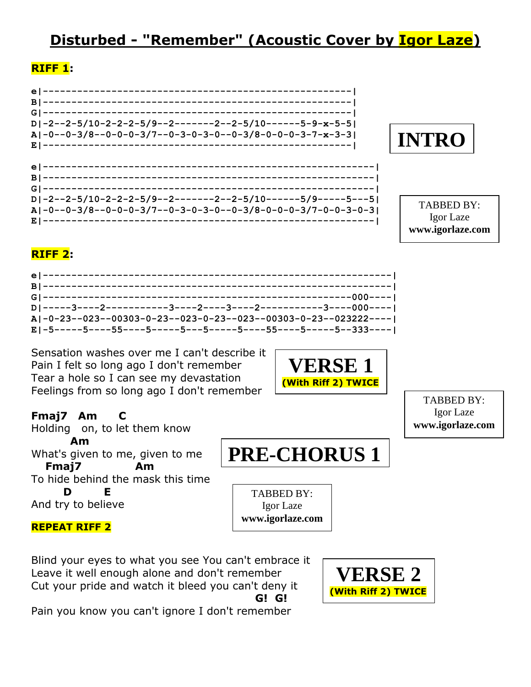# **Disturbed - "Remember" (Acoustic Cover by Igor Laze)**

### **RIFF 1:**

| D -2--2-5/10-2-2-2-5/9--2-------2--2-5/10------5-9-x-5-5      |  |
|---------------------------------------------------------------|--|
| $A$  -0--0-3/8--0-0-0-3/7--0-3-0-3-0--0-3/8-0-0-0-3-7-x-3-3   |  |
|                                                               |  |
|                                                               |  |
|                                                               |  |
|                                                               |  |
|                                                               |  |
| D -2--2-5/10-2-2-2-5/9--2-------2--2-5/10------5/9-----5---5  |  |
| Al-0--0-3/8--0-0-0-3/7--0-3-0-3-0--0-3/8-0-0-0-3/7-0-0-3-0-3l |  |
|                                                               |  |

# **INTRO**

TABBED BY: Igor Laze **www.igorlaze.com**

# **RIFF 2:**

| Al-0-23--023--00303-0-23--023-0-23--023--00303-0-23--023222---- |  |
|-----------------------------------------------------------------|--|
|                                                                 |  |

Sensation washes over me I can't describe it Pain I felt so long ago I don't remember Tear a hole so I can see my devastation Feelings from so long ago I don't remember

## **Fmaj7 Am C**

Holding on, to let them know  **Am** What's given to me, given to me

 **Fmaj7 Am** To hide behind the mask this time  **D E**

And try to believe

### **REPEAT RIFF 2**

Blind your eyes to what you see You can't embrace it Leave it well enough alone and don't remember Cut your pride and watch it bleed you can't deny it  **G! G!**

Pain you know you can't ignore I don't remember



**PRE-CHORUS 1**

TABBED BY: Igor Laze **www.igorlaze.com**

TABBED BY: Igor Laze **www.igorlaze.com**